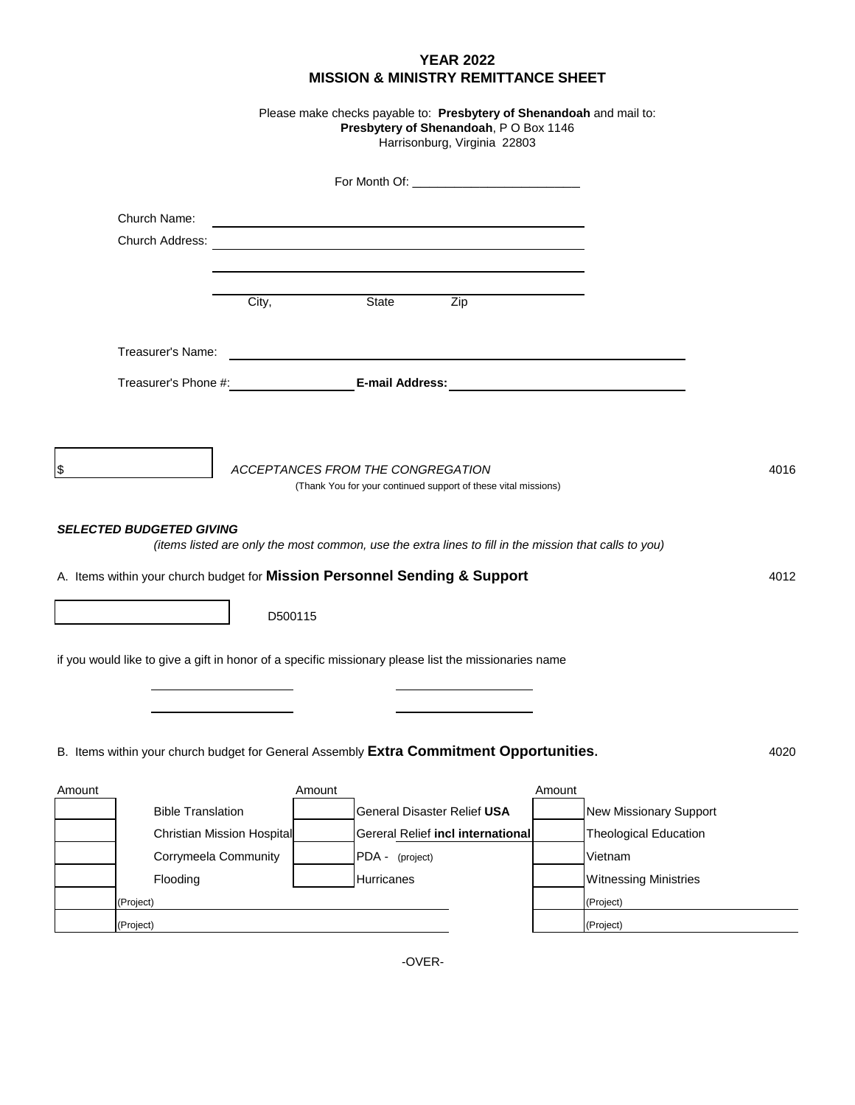|                                                                                                      |                            | <b>YEAR 2022</b><br><b>MISSION &amp; MINISTRY REMITTANCE SHEET</b>                                                                                                                                                            |        |                               |      |
|------------------------------------------------------------------------------------------------------|----------------------------|-------------------------------------------------------------------------------------------------------------------------------------------------------------------------------------------------------------------------------|--------|-------------------------------|------|
|                                                                                                      |                            | Please make checks payable to: Presbytery of Shenandoah and mail to:<br>Presbytery of Shenandoah, PO Box 1146<br>Harrisonburg, Virginia 22803                                                                                 |        |                               |      |
|                                                                                                      |                            |                                                                                                                                                                                                                               |        |                               |      |
| Church Name:                                                                                         |                            | the control of the control of the control of the control of the control of the control of the control of the control of the control of the control of the control of the control of the control of the control of the control |        |                               |      |
| Church Address:                                                                                      |                            | <u> 1989 - Johann Stein, marwolaethau a bhann an t-Amhair ann an t-Amhair an t-Amhair an t-Amhair an t-Amhair an</u>                                                                                                          |        |                               |      |
|                                                                                                      |                            |                                                                                                                                                                                                                               |        |                               |      |
|                                                                                                      | City,                      | State<br>Zip                                                                                                                                                                                                                  |        |                               |      |
| Treasurer's Name:                                                                                    |                            |                                                                                                                                                                                                                               |        |                               |      |
|                                                                                                      |                            |                                                                                                                                                                                                                               |        |                               |      |
|                                                                                                      |                            |                                                                                                                                                                                                                               |        |                               |      |
| \$                                                                                                   |                            | ACCEPTANCES FROM THE CONGREGATION<br>(Thank You for your continued support of these vital missions)                                                                                                                           |        |                               | 4016 |
| <b>SELECTED BUDGETED GIVING</b>                                                                      |                            | (items listed are only the most common, use the extra lines to fill in the mission that calls to you)                                                                                                                         |        |                               |      |
| A. Items within your church budget for Mission Personnel Sending & Support                           |                            |                                                                                                                                                                                                                               |        |                               | 4012 |
|                                                                                                      | D500115                    |                                                                                                                                                                                                                               |        |                               |      |
| if you would like to give a gift in honor of a specific missionary please list the missionaries name |                            |                                                                                                                                                                                                                               |        |                               |      |
| B. Items within your church budget for General Assembly Extra Commitment Opportunities.              |                            |                                                                                                                                                                                                                               |        |                               | 4020 |
| Amount                                                                                               | Amount                     |                                                                                                                                                                                                                               | Amount |                               |      |
| <b>Bible Translation</b>                                                                             |                            | General Disaster Relief USA                                                                                                                                                                                                   |        | <b>New Missionary Support</b> |      |
|                                                                                                      | Christian Mission Hospital | Gereral Relief incl international                                                                                                                                                                                             |        | <b>Theological Education</b>  |      |
| Corrymeela Community                                                                                 |                            | PDA - (project)                                                                                                                                                                                                               |        | Vietnam                       |      |
| Flooding                                                                                             |                            | Hurricanes                                                                                                                                                                                                                    |        | <b>Witnessing Ministries</b>  |      |
| (Project)                                                                                            |                            |                                                                                                                                                                                                                               |        | (Project)                     |      |
| (Project)                                                                                            |                            |                                                                                                                                                                                                                               |        | (Project)                     |      |